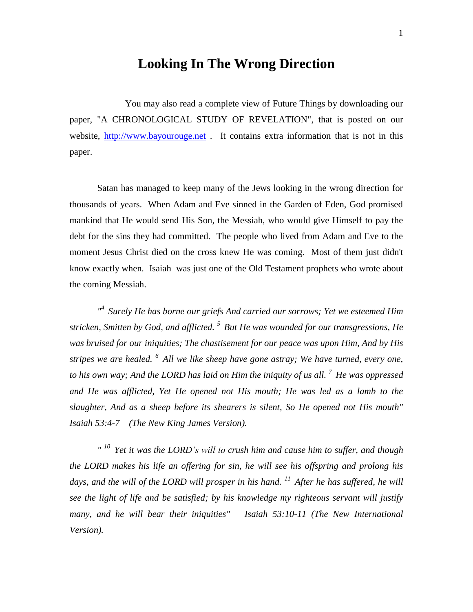## **Looking In The Wrong Direction**

You may also read a complete view of Future Things by downloading our paper, "A CHRONOLOGICAL STUDY OF REVELATION", that is posted on our website, [http://www.bayourouge.net](http://www.bayourouge.net/). It contains extra information that is not in this paper.

Satan has managed to keep many of the Jews looking in the wrong direction for thousands of years. When Adam and Eve sinned in the Garden of Eden, God promised mankind that He would send His Son, the Messiah, who would give Himself to pay the debt for the sins they had committed. The people who lived from Adam and Eve to the moment Jesus Christ died on the cross knew He was coming. Most of them just didn't know exactly when*.* Isaiah was just one of the Old Testament prophets who wrote about the coming Messiah.

*" <sup>4</sup>Surely He has borne our griefs And carried our sorrows; Yet we esteemed Him stricken, Smitten by God, and afflicted. <sup>5</sup>But He was wounded for our transgressions, He was bruised for our iniquities; The chastisement for our peace was upon Him, And by His stripes we are healed. <sup>6</sup>All we like sheep have gone astray; We have turned, every one, to his own way; And the LORD has laid on Him the iniquity of us all. <sup>7</sup>He was oppressed and He was afflicted, Yet He opened not His mouth; He was led as a lamb to the slaughter, And as a sheep before its shearers is silent, So He opened not His mouth" Isaiah 53:4-7 (The New King James Version).*

*" <sup>10</sup>Yet it was the LORD's will to crush him and cause him to suffer, and though the LORD makes his life an offering for sin, he will see his offspring and prolong his days, and the will of the LORD will prosper in his hand. <sup>11</sup>After he has suffered, he will see the light of life and be satisfied; by his knowledge my righteous servant will justify*  many, and he will bear their iniquities" Isaiah 53:10-11 (The New International *Version).*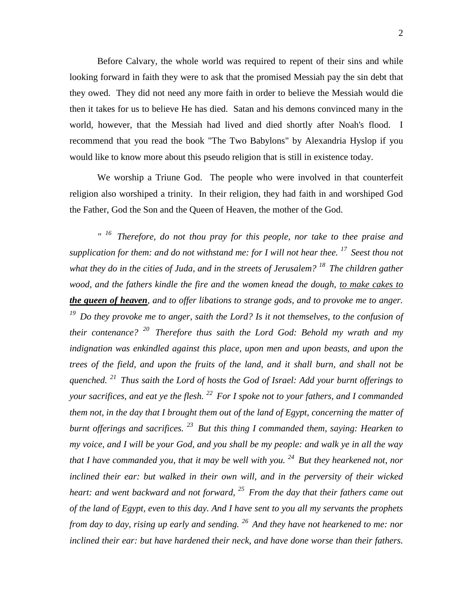Before Calvary, the whole world was required to repent of their sins and while looking forward in faith they were to ask that the promised Messiah pay the sin debt that they owed. They did not need any more faith in order to believe the Messiah would die then it takes for us to believe He has died. Satan and his demons convinced many in the world, however, that the Messiah had lived and died shortly after Noah's flood. I recommend that you read the book "The Two Babylons" by Alexandria Hyslop if you would like to know more about this pseudo religion that is still in existence today.

We worship a Triune God. The people who were involved in that counterfeit religion also worshiped a trinity. In their religion, they had faith in and worshiped God the Father, God the Son and the Queen of Heaven, the mother of the God.

*" <sup>16</sup>Therefore, do not thou pray for this people, nor take to thee praise and supplication for them: and do not withstand me: for I will not hear thee. <sup>17</sup>Seest thou not what they do in the cities of Juda, and in the streets of Jerusalem? <sup>18</sup>The children gather wood, and the fathers kindle the fire and the women knead the dough, to make cakes to the queen of heaven, and to offer libations to strange gods, and to provoke me to anger. <sup>19</sup>Do they provoke me to anger, saith the Lord? Is it not themselves, to the confusion of their contenance? <sup>20</sup>Therefore thus saith the Lord God: Behold my wrath and my indignation was enkindled against this place, upon men and upon beasts, and upon the trees of the field, and upon the fruits of the land, and it shall burn, and shall not be quenched. <sup>21</sup>Thus saith the Lord of hosts the God of Israel: Add your burnt offerings to your sacrifices, and eat ye the flesh. <sup>22</sup>For I spoke not to your fathers, and I commanded them not, in the day that I brought them out of the land of Egypt, concerning the matter of burnt offerings and sacrifices. <sup>23</sup>But this thing I commanded them, saying: Hearken to my voice, and I will be your God, and you shall be my people: and walk ye in all the way that I have commanded you, that it may be well with you. <sup>24</sup>But they hearkened not, nor inclined their ear: but walked in their own will, and in the perversity of their wicked heart: and went backward and not forward, <sup>25</sup>From the day that their fathers came out of the land of Egypt, even to this day. And I have sent to you all my servants the prophets from day to day, rising up early and sending. <sup>26</sup>And they have not hearkened to me: nor inclined their ear: but have hardened their neck, and have done worse than their fathers.*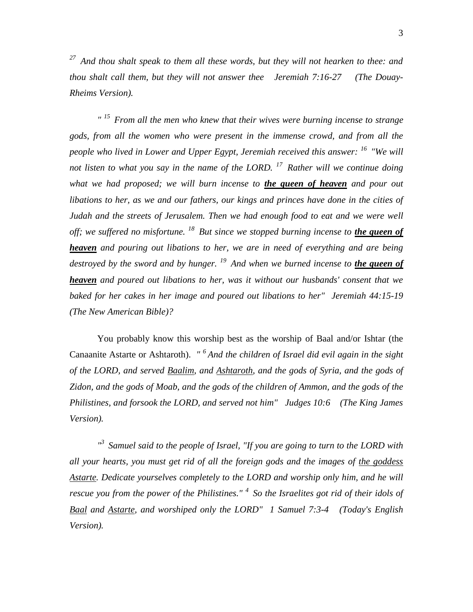3

*<sup>27</sup>And thou shalt speak to them all these words, but they will not hearken to thee: and thou shalt call them, but they will not answer thee Jeremiah 7:16-27 (The Douay-Rheims Version).*

*" <sup>15</sup>From all the men who knew that their wives were burning incense to strange gods, from all the women who were present in the immense crowd, and from all the people who lived in Lower and Upper Egypt, Jeremiah received this answer: <sup>16</sup>"We will not listen to what you say in the name of the LORD. <sup>17</sup>Rather will we continue doing what we had proposed; we will burn incense to the queen of heaven and pour out libations to her, as we and our fathers, our kings and princes have done in the cities of Judah and the streets of Jerusalem. Then we had enough food to eat and we were well off; we suffered no misfortune. <sup>18</sup>But since we stopped burning incense to the queen of heaven and pouring out libations to her, we are in need of everything and are being destroyed by the sword and by hunger. <sup>19</sup>And when we burned incense to the queen of heaven and poured out libations to her, was it without our husbands' consent that we baked for her cakes in her image and poured out libations to her" Jeremiah 44:15-19 (The New American Bible)?*

You probably know this worship best as the worship of Baal and/or Ishtar (the Canaanite Astarte or Ashtaroth). *" <sup>6</sup>And the children of Israel did evil again in the sight of the LORD, and served Baalim, and Ashtaroth, and the gods of Syria, and the gods of Zidon, and the gods of Moab, and the gods of the children of Ammon, and the gods of the Philistines, and forsook the LORD, and served not him" Judges 10:6 (The King James Version).*

*" <sup>3</sup>Samuel said to the people of Israel, "If you are going to turn to the LORD with all your hearts, you must get rid of all the foreign gods and the images of the goddess Astarte. Dedicate yourselves completely to the LORD and worship only him, and he will rescue you from the power of the Philistines." <sup>4</sup>So the Israelites got rid of their idols of Baal and Astarte, and worshiped only the LORD" 1 Samuel 7:3-4 (Today's English Version).*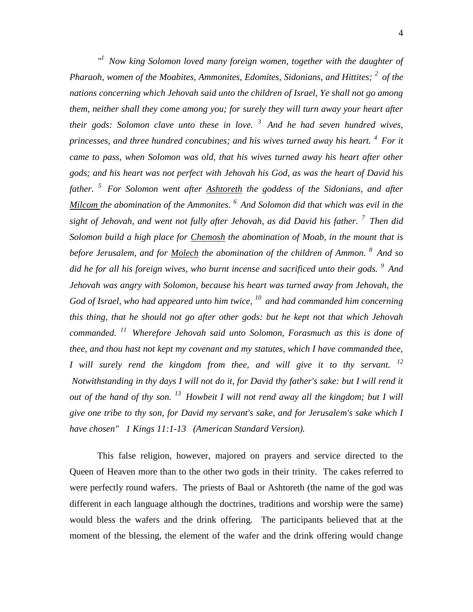<sup>"</sup> Now king Solomon loved many foreign women, together with the daughter of *Pharaoh, women of the Moabites, Ammonites, Edomites, Sidonians, and Hittites; <sup>2</sup>of the nations concerning which Jehovah said unto the children of Israel, Ye shall not go among them, neither shall they come among you; for surely they will turn away your heart after their gods: Solomon clave unto these in love. <sup>3</sup>And he had seven hundred wives, princesses, and three hundred concubines; and his wives turned away his heart. <sup>4</sup>For it came to pass, when Solomon was old, that his wives turned away his heart after other gods; and his heart was not perfect with Jehovah his God, as was the heart of David his father. <sup>5</sup>For Solomon went after Ashtoreth the goddess of the Sidonians, and after Milcom the abomination of the Ammonites. <sup>6</sup>And Solomon did that which was evil in the sight of Jehovah, and went not fully after Jehovah, as did David his father. <sup>7</sup>Then did Solomon build a high place for Chemosh the abomination of Moab, in the mount that is before Jerusalem, and for Molech the abomination of the children of Ammon. <sup>8</sup>And so did he for all his foreign wives, who burnt incense and sacrificed unto their gods. <sup>9</sup>And Jehovah was angry with Solomon, because his heart was turned away from Jehovah, the God of Israel, who had appeared unto him twice, <sup>10</sup>and had commanded him concerning this thing, that he should not go after other gods: but he kept not that which Jehovah commanded. <sup>11</sup>Wherefore Jehovah said unto Solomon, Forasmuch as this is done of thee, and thou hast not kept my covenant and my statutes, which I have commanded thee, I* will surely rend the kingdom from thee, and will give it to thy servant. <sup>12</sup> *Notwithstanding in thy days I will not do it, for David thy father's sake: but I will rend it out of the hand of thy son. <sup>13</sup>Howbeit I will not rend away all the kingdom; but I will give one tribe to thy son, for David my servant's sake, and for Jerusalem's sake which I have chosen" 1 Kings 11:1-13 (American Standard Version).*

This false religion, however, majored on prayers and service directed to the Queen of Heaven more than to the other two gods in their trinity. The cakes referred to were perfectly round wafers. The priests of Baal or Ashtoreth (the name of the god was different in each language although the doctrines, traditions and worship were the same) would bless the wafers and the drink offering. The participants believed that at the moment of the blessing, the element of the wafer and the drink offering would change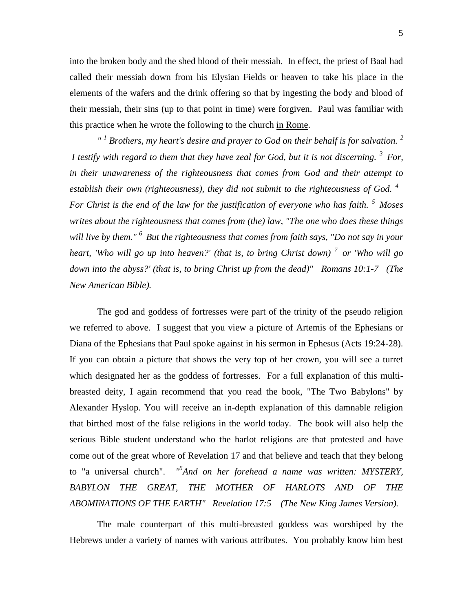into the broken body and the shed blood of their messiah. In effect, the priest of Baal had called their messiah down from his Elysian Fields or heaven to take his place in the elements of the wafers and the drink offering so that by ingesting the body and blood of their messiah, their sins (up to that point in time) were forgiven. Paul was familiar with this practice when he wrote the following to the church in Rome.

*" 1 Brothers, my heart's desire and prayer to God on their behalf is for salvation. <sup>2</sup> I testify with regard to them that they have zeal for God, but it is not discerning. <sup>3</sup>For, in their unawareness of the righteousness that comes from God and their attempt to establish their own (righteousness), they did not submit to the righteousness of God. <sup>4</sup> For Christ is the end of the law for the justification of everyone who has faith. <sup>5</sup>Moses writes about the righteousness that comes from (the) law, "The one who does these things will live by them." <sup>6</sup>But the righteousness that comes from faith says, "Do not say in your heart, 'Who will go up into heaven?' (that is, to bring Christ down) <sup>7</sup>or 'Who will go down into the abyss?' (that is, to bring Christ up from the dead)" Romans 10:1-7 (The New American Bible).*

The god and goddess of fortresses were part of the trinity of the pseudo religion we referred to above. I suggest that you view a picture of Artemis of the Ephesians or Diana of the Ephesians that Paul spoke against in his sermon in Ephesus (Acts 19:24-28). If you can obtain a picture that shows the very top of her crown, you will see a turret which designated her as the goddess of fortresses. For a full explanation of this multibreasted deity, I again recommend that you read the book, "The Two Babylons" by Alexander Hyslop. You will receive an in-depth explanation of this damnable religion that birthed most of the false religions in the world today. The book will also help the serious Bible student understand who the harlot religions are that protested and have come out of the great whore of Revelation 17 and that believe and teach that they belong to "a universal church". *" 5 And on her forehead a name was written: MYSTERY, BABYLON THE GREAT, THE MOTHER OF HARLOTS AND OF THE ABOMINATIONS OF THE EARTH" Revelation 17:5 (The New King James Version).*

The male counterpart of this multi-breasted goddess was worshiped by the Hebrews under a variety of names with various attributes. You probably know him best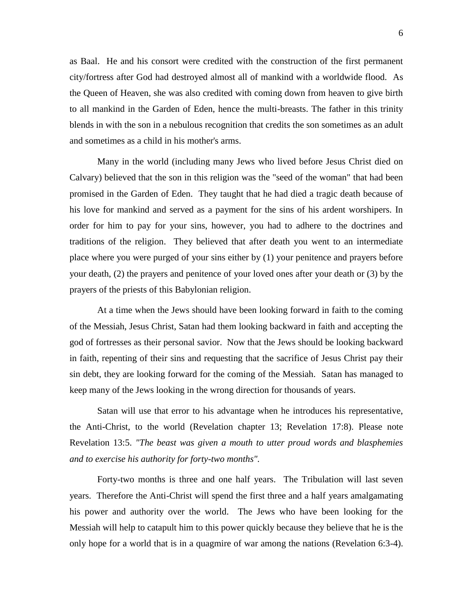as Baal. He and his consort were credited with the construction of the first permanent city/fortress after God had destroyed almost all of mankind with a worldwide flood. As the Queen of Heaven, she was also credited with coming down from heaven to give birth to all mankind in the Garden of Eden, hence the multi-breasts. The father in this trinity blends in with the son in a nebulous recognition that credits the son sometimes as an adult and sometimes as a child in his mother's arms.

Many in the world (including many Jews who lived before Jesus Christ died on Calvary) believed that the son in this religion was the "seed of the woman" that had been promised in the Garden of Eden. They taught that he had died a tragic death because of his love for mankind and served as a payment for the sins of his ardent worshipers. In order for him to pay for your sins, however, you had to adhere to the doctrines and traditions of the religion. They believed that after death you went to an intermediate place where you were purged of your sins either by (1) your penitence and prayers before your death, (2) the prayers and penitence of your loved ones after your death or (3) by the prayers of the priests of this Babylonian religion.

At a time when the Jews should have been looking forward in faith to the coming of the Messiah, Jesus Christ, Satan had them looking backward in faith and accepting the god of fortresses as their personal savior. Now that the Jews should be looking backward in faith, repenting of their sins and requesting that the sacrifice of Jesus Christ pay their sin debt, they are looking forward for the coming of the Messiah. Satan has managed to keep many of the Jews looking in the wrong direction for thousands of years.

Satan will use that error to his advantage when he introduces his representative, the Anti-Christ, to the world (Revelation chapter 13; Revelation 17:8). Please note Revelation 13:5. *"The beast was given a mouth to utter proud words and blasphemies and to exercise his authority for forty-two months".*

Forty-two months is three and one half years. The Tribulation will last seven years. Therefore the Anti-Christ will spend the first three and a half years amalgamating his power and authority over the world. The Jews who have been looking for the Messiah will help to catapult him to this power quickly because they believe that he is the only hope for a world that is in a quagmire of war among the nations (Revelation 6:3-4).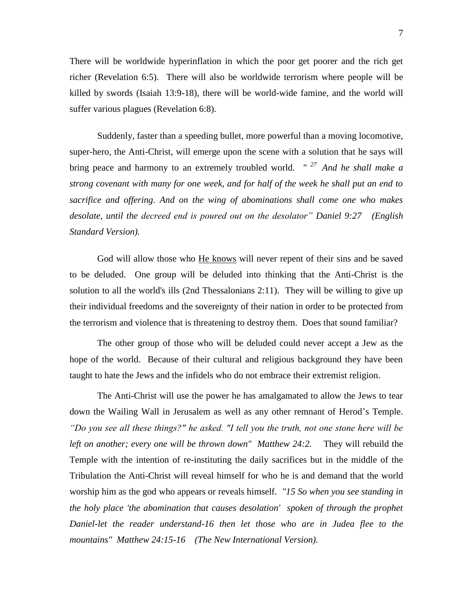There will be worldwide hyperinflation in which the poor get poorer and the rich get richer (Revelation 6:5). There will also be worldwide terrorism where people will be killed by swords (Isaiah 13:9-18), there will be world-wide famine, and the world will suffer various plagues (Revelation 6:8).

Suddenly, faster than a speeding bullet, more powerful than a moving locomotive, super-hero, the Anti-Christ, will emerge upon the scene with a solution that he says will bring peace and harmony to an extremely troubled world*. " <sup>27</sup>And he shall make a strong covenant with many for one week, and for half of the week he shall put an end to sacrifice and offering. And on the wing of abominations shall come one who makes desolate, until the decreed end is poured out on the desolator" Daniel 9:27 (English Standard Version).*

God will allow those who **He knows** will never repent of their sins and be saved to be deluded. One group will be deluded into thinking that the Anti-Christ is the solution to all the world's ills (2nd Thessalonians 2:11). They will be willing to give up their individual freedoms and the sovereignty of their nation in order to be protected from the terrorism and violence that is threatening to destroy them. Does that sound familiar?

The other group of those who will be deluded could never accept a Jew as the hope of the world. Because of their cultural and religious background they have been taught to hate the Jews and the infidels who do not embrace their extremist religion.

The Anti-Christ will use the power he has amalgamated to allow the Jews to tear down the Wailing Wall in Jerusalem as well as any other remnant of Herod's Temple. *"Do you see all these things?" he asked. "I tell you the truth, not one stone here will be left on another; every one will be thrown down" Matthew 24:2.* They will rebuild the Temple with the intention of re-instituting the daily sacrifices but in the middle of the Tribulation the Anti-Christ will reveal himself for who he is and demand that the world worship him as the god who appears or reveals himself. *"15 So when you see standing in the holy place 'the abomination that causes desolation' spoken of through the prophet Daniel-let the reader understand-16 then let those who are in Judea flee to the mountains" Matthew 24:15-16 (The New International Version).*